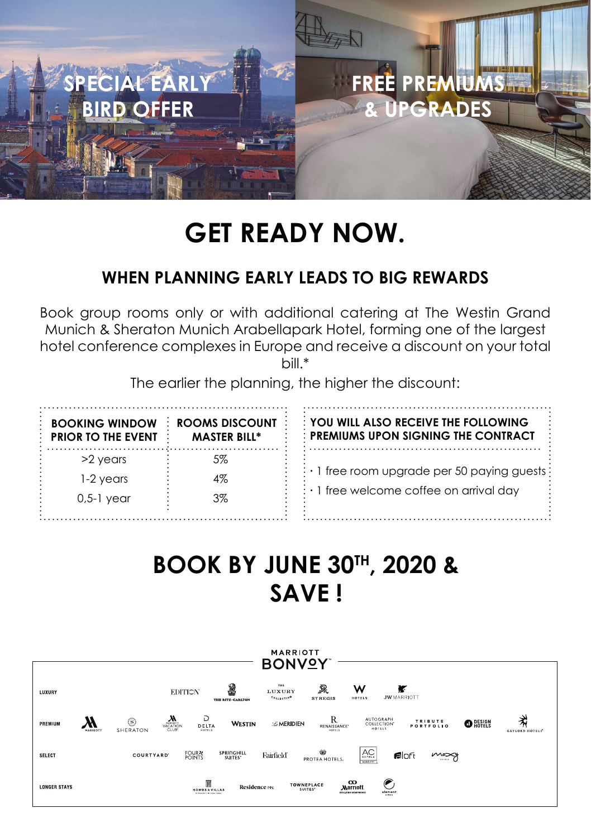

# **GET READY NOW.**

### **WHEN PLANNING EARLY LEADS TO BIG REWARDS**

Book group rooms only or with additional catering at The Westin Grand Munich & Sheraton Munich Arabellapark Hotel, forming one of the largest hotel conference complexes in Europe and receive a discount on your total bill.\*

The earlier the planning, the higher the discount:

| <b>BOOKING WINDOW</b><br>$:$ PRIOR TO THE EVENT | ROOMS DISCOUNT<br><b>MASTER BILL*</b> | YOU WILL ALSO RECEIVE THE FOLLOWING<br>: PREMIUMS UPON SIGNING THE CONTRACT |
|-------------------------------------------------|---------------------------------------|-----------------------------------------------------------------------------|
| $>2$ vears                                      | 5%                                    |                                                                             |
| 1-2 years                                       | 4%                                    | $\cdot \cdot$ 1 free room upgrade per 50 paying guests :                    |
| 0,5-1 year                                      | $3\%$                                 | $\cdot$ 1 free welcome coffee on arrival day                                |

## **BOOK BY JUNE 30TH, 2020 & SAVE !**

| <b>MARRIOTT</b><br><b>BONVOY</b> |                           |                                                                           |                                                            |                                                                                                                            |                                                |  |  |
|----------------------------------|---------------------------|---------------------------------------------------------------------------|------------------------------------------------------------|----------------------------------------------------------------------------------------------------------------------------|------------------------------------------------|--|--|
| LUXURY                           |                           | 2<br><b>EDITION</b><br>THE RITZ-CARLTON                                   | THE<br>R.<br>LUXURY<br><b>COLLEGILON</b><br><b>STREGIS</b> | w<br>r<br><b>JW</b> MARRIOTT<br>HOTELS                                                                                     |                                                |  |  |
| PREMIUM                          | ⊜<br>SHERATON<br>MARRIOTT | Ð<br>$\sum_{\substack{\text{VACATION} \ \text{CLUB}}}$<br>DELTA<br>HOTELS | WESTIN<br><b>Z MERIDIEN</b>                                | R<br><b>AUTOGRAPH</b><br><b>TRIBUTE</b><br>COLLECTION"<br>PORTFOLIO<br>RENAISSANCE <sup>-</sup><br><b>HOTELS</b><br>HOTELS | ネ<br>$\bullet$ Resign<br><b>CAYLORD HOTELS</b> |  |  |
| <b>SELECT</b>                    | <b>COURTYARD</b>          | FOUR Y<br>SPRINGHILL<br>SUITES <sup>®</sup>                               | Ŵ<br>Fairfield<br>PROTEA HOTELS.                           | AC<br><b>Filoft</b><br><b>MARROTT</b>                                                                                      | mosy                                           |  |  |
| <b>LONGER STAYS</b>              |                           | M<br><b>HOMES &amp; VILLAS</b><br><b>AT GUNS ETT ENGINEERING</b>          | TOWNEPLACE<br>Residence NN.<br>SUITES <sup>®</sup>         | $\infty$<br><b>Marriott</b><br>element<br><b>EXCUTIVE APARTMENTS</b>                                                       |                                                |  |  |